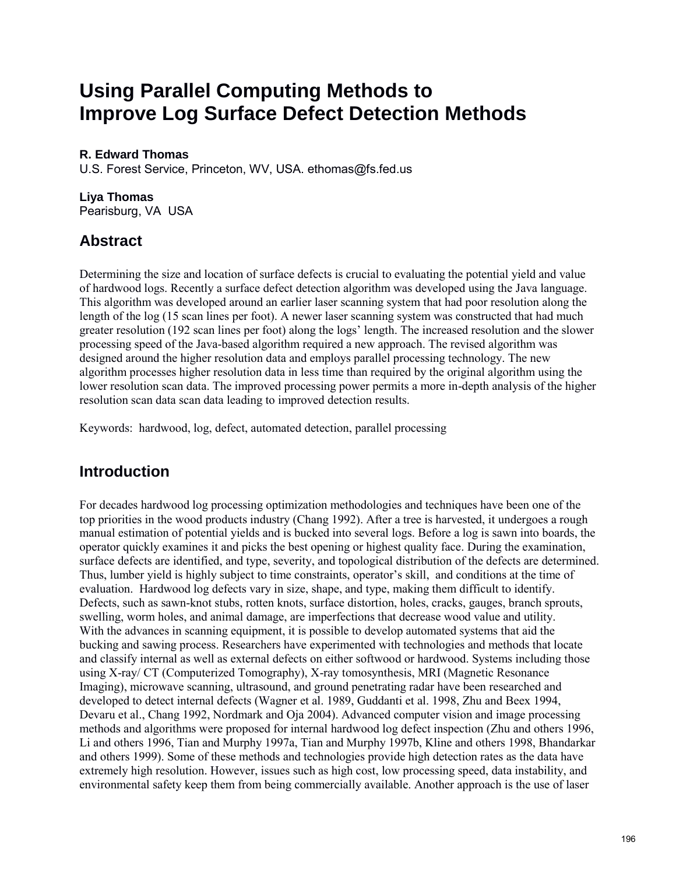# **Using Parallel Computing Methods to Improve Log Surface Defect Detection Methods**

#### **R. Edward Thomas**

U.S. Forest Service, Princeton, WV, USA. ethomas@fs.fed.us

#### **Liya Thomas**

Pearisburg, VA USA

## **Abstract**

Determining the size and location of surface defects is crucial to evaluating the potential yield and value of hardwood logs. Recently a surface defect detection algorithm was developed using the Java language. This algorithm was developed around an earlier laser scanning system that had poor resolution along the length of the log (15 scan lines per foot). A newer laser scanning system was constructed that had much greater resolution (192 scan lines per foot) along the logs' length. The increased resolution and the slower processing speed of the Java-based algorithm required a new approach. The revised algorithm was designed around the higher resolution data and employs parallel processing technology. The new algorithm processes higher resolution data in less time than required by the original algorithm using the lower resolution scan data. The improved processing power permits a more in-depth analysis of the higher resolution scan data scan data leading to improved detection results.

Keywords: hardwood, log, defect, automated detection, parallel processing

## **Introduction**

For decades hardwood log processing optimization methodologies and techniques have been one of the top priorities in the wood products industry (Chang 1992). After a tree is harvested, it undergoes a rough manual estimation of potential yields and is bucked into several logs. Before a log is sawn into boards, the operator quickly examines it and picks the best opening or highest quality face. During the examination, surface defects are identified, and type, severity, and topological distribution of the defects are determined. Thus, lumber yield is highly subject to time constraints, operator's skill, and conditions at the time of evaluation. Hardwood log defects vary in size, shape, and type, making them difficult to identify. Defects, such as sawn-knot stubs, rotten knots, surface distortion, holes, cracks, gauges, branch sprouts, swelling, worm holes, and animal damage, are imperfections that decrease wood value and utility. With the advances in scanning equipment, it is possible to develop automated systems that aid the bucking and sawing process. Researchers have experimented with technologies and methods that locate and classify internal as well as external defects on either softwood or hardwood. Systems including those using X-ray/ CT (Computerized Tomography), X-ray tomosynthesis, MRI (Magnetic Resonance Imaging), microwave scanning, ultrasound, and ground penetrating radar have been researched and developed to detect internal defects (Wagner et al. 1989, Guddanti et al. 1998, Zhu and Beex 1994, Devaru et al., Chang 1992, Nordmark and Oja 2004). Advanced computer vision and image processing methods and algorithms were proposed for internal hardwood log defect inspection (Zhu and others 1996, Li and others 1996, Tian and Murphy 1997a, Tian and Murphy 1997b, Kline and others 1998, Bhandarkar and others 1999). Some of these methods and technologies provide high detection rates as the data have extremely high resolution. However, issues such as high cost, low processing speed, data instability, and environmental safety keep them from being commercially available. Another approach is the use of laser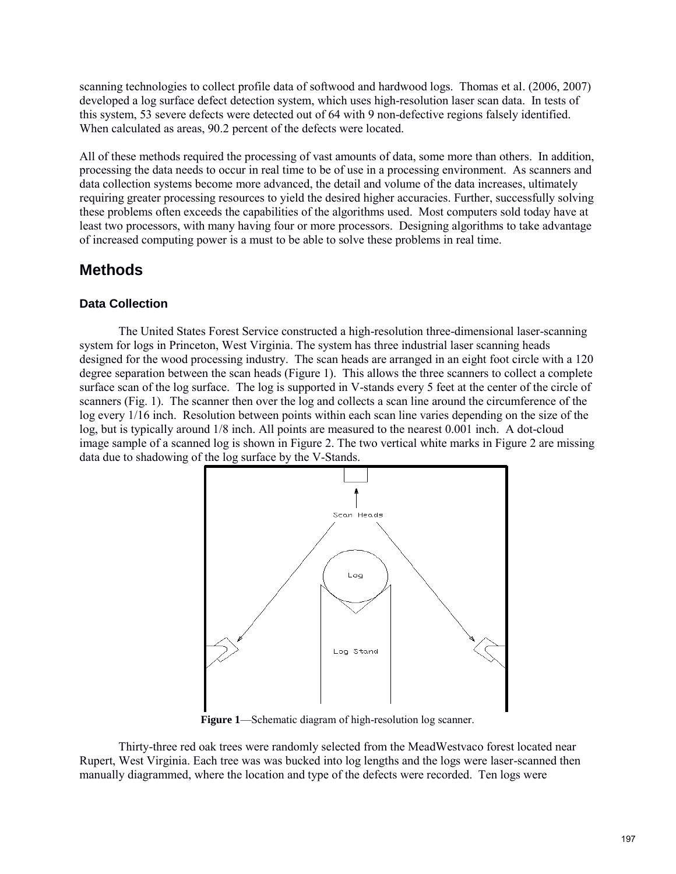scanning technologies to collect profile data of softwood and hardwood logs. Thomas et al. (2006, 2007) developed a log surface defect detection system, which uses high-resolution laser scan data. In tests of this system, 53 severe defects were detected out of 64 with 9 non-defective regions falsely identified. When calculated as areas, 90.2 percent of the defects were located.

All of these methods required the processing of vast amounts of data, some more than others. In addition, processing the data needs to occur in real time to be of use in a processing environment. As scanners and data collection systems become more advanced, the detail and volume of the data increases, ultimately requiring greater processing resources to yield the desired higher accuracies. Further, successfully solving these problems often exceeds the capabilities of the algorithms used. Most computers sold today have at least two processors, with many having four or more processors. Designing algorithms to take advantage of increased computing power is a must to be able to solve these problems in real time.

### **Methods**

#### **Data Collection**

The United States Forest Service constructed a high-resolution three-dimensional laser-scanning system for logs in Princeton, West Virginia. The system has three industrial laser scanning heads designed for the wood processing industry. The scan heads are arranged in an eight foot circle with a 120 degree separation between the scan heads (Figure 1). This allows the three scanners to collect a complete surface scan of the log surface. The log is supported in V-stands every 5 feet at the center of the circle of scanners (Fig. 1). The scanner then over the log and collects a scan line around the circumference of the log every 1/16 inch. Resolution between points within each scan line varies depending on the size of the log, but is typically around 1/8 inch. All points are measured to the nearest 0.001 inch. A dot-cloud image sample of a scanned log is shown in Figure 2. The two vertical white marks in Figure 2 are missing data due to shadowing of the log surface by the V-Stands.



**Figure 1**—Schematic diagram of high-resolution log scanner.

Thirty-three red oak trees were randomly selected from the MeadWestvaco forest located near Rupert, West Virginia. Each tree was was bucked into log lengths and the logs were laser-scanned then manually diagrammed, where the location and type of the defects were recorded. Ten logs were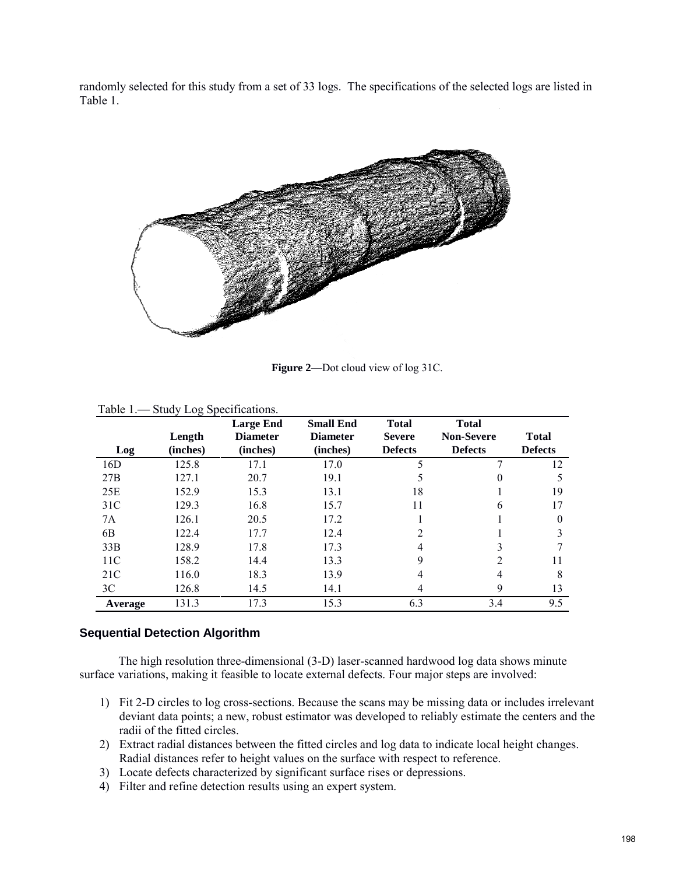randomly selected for this study from a set of 33 logs. The specifications of the selected logs are listed in Table 1.



**Figure 2**—Dot cloud view of log 31C.

|                 | Length   | <b>Large End</b><br><b>Diameter</b> | <b>Small End</b><br><b>Diameter</b> | <b>Total</b><br><b>Severe</b> | <b>Total</b><br><b>Non-Severe</b> | <b>Total</b>   |
|-----------------|----------|-------------------------------------|-------------------------------------|-------------------------------|-----------------------------------|----------------|
| Log             | (inches) | (inches)                            | (inches)                            | <b>Defects</b>                | <b>Defects</b>                    | <b>Defects</b> |
| 16D             | 125.8    | 17.1                                | 17.0                                | 5                             |                                   | 12             |
| 27B             | 127.1    | 20.7                                | 19.1                                |                               | $\theta$                          |                |
| 25E             | 152.9    | 15.3                                | 13.1                                | 18                            |                                   | 19             |
| 31 <sup>C</sup> | 129.3    | 16.8                                | 15.7                                | 11                            | 6                                 | 17             |
| 7A              | 126.1    | 20.5                                | 17.2                                |                               |                                   | $\Omega$       |
| 6B              | 122.4    | 17.7                                | 12.4                                | $\mathfrak{D}$                |                                   | 3              |
| 33B             | 128.9    | 17.8                                | 17.3                                | 4                             | 3                                 |                |
| 11 <sup>C</sup> | 158.2    | 14.4                                | 13.3                                | $\mathbf Q$                   | $\overline{2}$                    | 11             |
| 21C             | 116.0    | 18.3                                | 13.9                                | 4                             | 4                                 | 8              |
| 3C              | 126.8    | 14.5                                | 14.1                                | 4                             | 9                                 | 13             |
| Average         | 131.3    | 17.3                                | 15.3                                | 6.3                           | 3.4                               | 9.5            |

Table 1.— Study Log Specifications.

#### **Sequential Detection Algorithm**

The high resolution three-dimensional (3-D) laser-scanned hardwood log data shows minute surface variations, making it feasible to locate external defects. Four major steps are involved:

- 1) Fit 2-D circles to log cross-sections. Because the scans may be missing data or includes irrelevant deviant data points; a new, robust estimator was developed to reliably estimate the centers and the radii of the fitted circles.
- 2) Extract radial distances between the fitted circles and log data to indicate local height changes. Radial distances refer to height values on the surface with respect to reference.
- 3) Locate defects characterized by significant surface rises or depressions.
- 4) Filter and refine detection results using an expert system.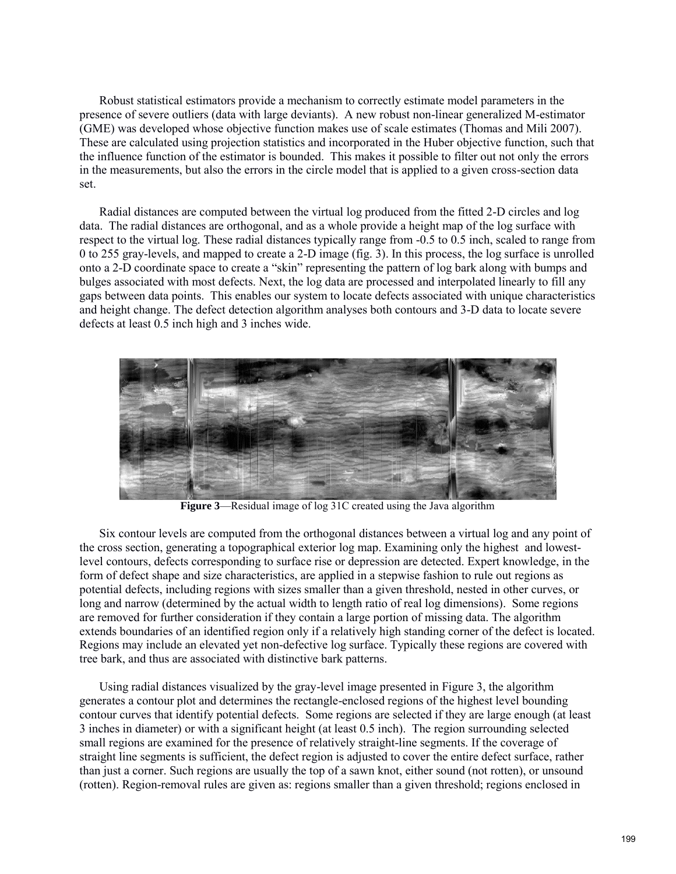Robust statistical estimators provide a mechanism to correctly estimate model parameters in the presence of severe outliers (data with large deviants). A new robust non-linear generalized M-estimator (GME) was developed whose objective function makes use of scale estimates (Thomas and Mili 2007). These are calculated using projection statistics and incorporated in the Huber objective function, such that the influence function of the estimator is bounded. This makes it possible to filter out not only the errors in the measurements, but also the errors in the circle model that is applied to a given cross-section data set.

 Radial distances are computed between the virtual log produced from the fitted 2-D circles and log data. The radial distances are orthogonal, and as a whole provide a height map of the log surface with respect to the virtual log. These radial distances typically range from -0.5 to 0.5 inch, scaled to range from 0 to 255 gray-levels, and mapped to create a 2-D image (fig. 3). In this process, the log surface is unrolled onto a 2-D coordinate space to create a "skin" representing the pattern of log bark along with bumps and bulges associated with most defects. Next, the log data are processed and interpolated linearly to fill any gaps between data points. This enables our system to locate defects associated with unique characteristics and height change. The defect detection algorithm analyses both contours and 3-D data to locate severe defects at least 0.5 inch high and 3 inches wide.



**Figure 3**—Residual image of log 31C created using the Java algorithm

 Six contour levels are computed from the orthogonal distances between a virtual log and any point of the cross section, generating a topographical exterior log map. Examining only the highest and lowestlevel contours, defects corresponding to surface rise or depression are detected. Expert knowledge, in the form of defect shape and size characteristics, are applied in a stepwise fashion to rule out regions as potential defects, including regions with sizes smaller than a given threshold, nested in other curves, or long and narrow (determined by the actual width to length ratio of real log dimensions). Some regions are removed for further consideration if they contain a large portion of missing data. The algorithm extends boundaries of an identified region only if a relatively high standing corner of the defect is located. Regions may include an elevated yet non-defective log surface. Typically these regions are covered with tree bark, and thus are associated with distinctive bark patterns.

 Using radial distances visualized by the gray-level image presented in Figure 3, the algorithm generates a contour plot and determines the rectangle-enclosed regions of the highest level bounding contour curves that identify potential defects. Some regions are selected if they are large enough (at least 3 inches in diameter) or with a significant height (at least 0.5 inch). The region surrounding selected small regions are examined for the presence of relatively straight-line segments. If the coverage of straight line segments is sufficient, the defect region is adjusted to cover the entire defect surface, rather than just a corner. Such regions are usually the top of a sawn knot, either sound (not rotten), or unsound (rotten). Region-removal rules are given as: regions smaller than a given threshold; regions enclosed in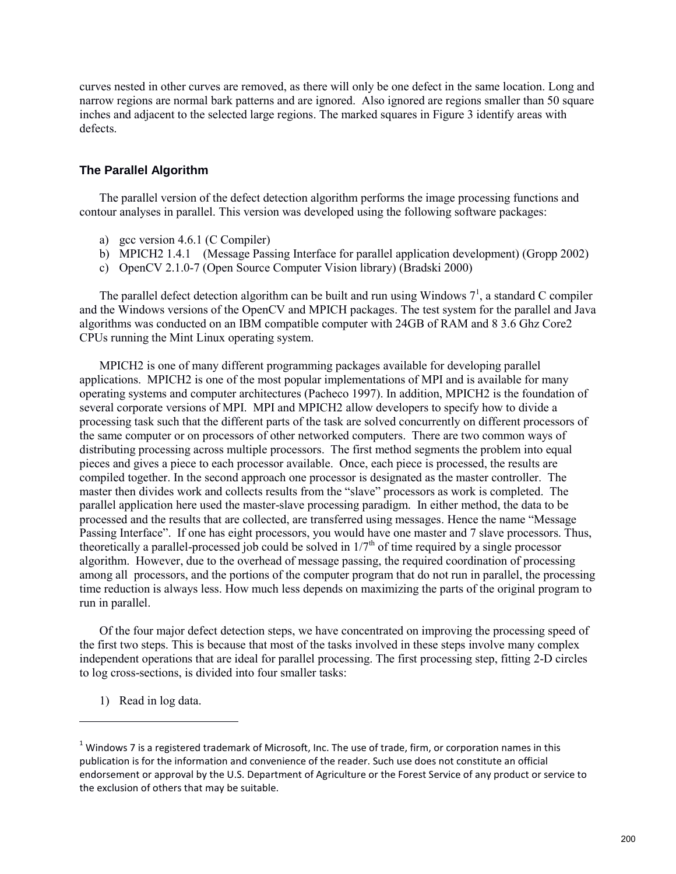curves nested in other curves are removed, as there will only be one defect in the same location. Long and narrow regions are normal bark patterns and are ignored. Also ignored are regions smaller than 50 square inches and adjacent to the selected large regions. The marked squares in Figure 3 identify areas with defects.

#### **The Parallel Algorithm**

 The parallel version of the defect detection algorithm performs the image processing functions and contour analyses in parallel. This version was developed using the following software packages:

- a) gcc version 4.6.1 (C Compiler)
- b) MPICH2 1.4.1 (Message Passing Interface for parallel application development) (Gropp 2002)
- c) OpenCV 2.1.0-7 (Open Source Computer Vision library) (Bradski 2000)

The parallel defect detection algorithm can be built and run using Windows  $7<sup>1</sup>$ , a standard C compiler and the Windows versions of the OpenCV and MPICH packages. The test system for the parallel and Java algorithms was conducted on an IBM compatible computer with 24GB of RAM and 8 3.6 Ghz Core2 CPUs running the Mint Linux operating system.

MPICH2 is one of many different programming packages available for developing parallel applications. MPICH2 is one of the most popular implementations of MPI and is available for many operating systems and computer architectures (Pacheco 1997). In addition, MPICH2 is the foundation of several corporate versions of MPI. MPI and MPICH2 allow developers to specify how to divide a processing task such that the different parts of the task are solved concurrently on different processors of the same computer or on processors of other networked computers. There are two common ways of distributing processing across multiple processors. The first method segments the problem into equal pieces and gives a piece to each processor available. Once, each piece is processed, the results are compiled together. In the second approach one processor is designated as the master controller. The master then divides work and collects results from the "slave" processors as work is completed. The parallel application here used the master-slave processing paradigm. In either method, the data to be processed and the results that are collected, are transferred using messages. Hence the name "Message Passing Interface". If one has eight processors, you would have one master and 7 slave processors. Thus, theoretically a parallel-processed job could be solved in  $1/7<sup>th</sup>$  of time required by a single processor algorithm. However, due to the overhead of message passing, the required coordination of processing among all processors, and the portions of the computer program that do not run in parallel, the processing time reduction is always less. How much less depends on maximizing the parts of the original program to run in parallel.

Of the four major defect detection steps, we have concentrated on improving the processing speed of the first two steps. This is because that most of the tasks involved in these steps involve many complex independent operations that are ideal for parallel processing. The first processing step, fitting 2-D circles to log cross-sections, is divided into four smaller tasks:

1) Read in log data.

l

 $^1$  Windows 7 is a registered trademark of Microsoft, Inc. The use of trade, firm, or corporation names in this publication is for the information and convenience of the reader. Such use does not constitute an official endorsement or approval by the U.S. Department of Agriculture or the Forest Service of any product or service to the exclusion of others that may be suitable.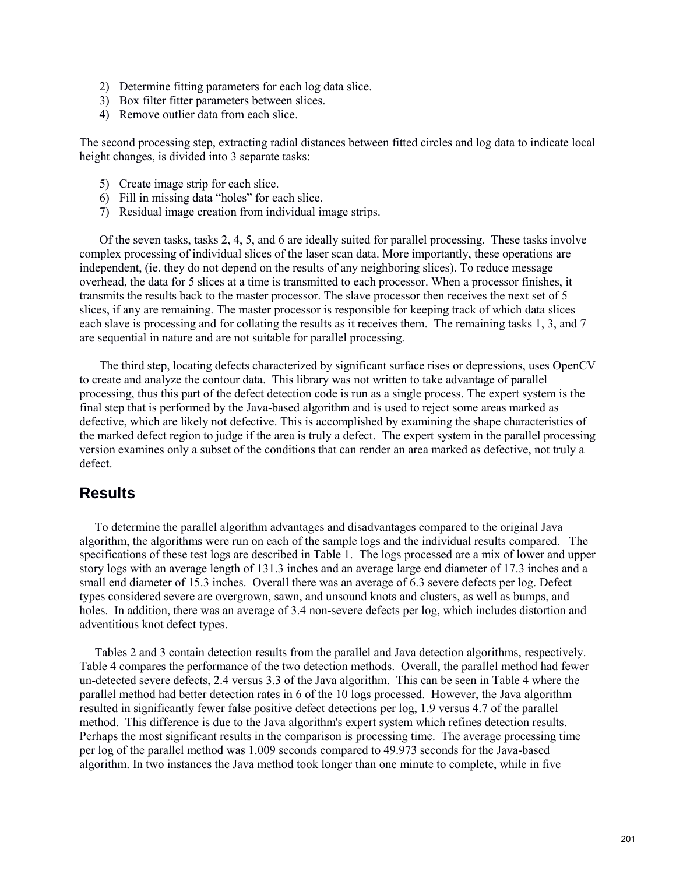- 2) Determine fitting parameters for each log data slice.
- 3) Box filter fitter parameters between slices.
- 4) Remove outlier data from each slice.

The second processing step, extracting radial distances between fitted circles and log data to indicate local height changes, is divided into 3 separate tasks:

- 5) Create image strip for each slice.
- 6) Fill in missing data "holes" for each slice.
- 7) Residual image creation from individual image strips.

Of the seven tasks, tasks 2, 4, 5, and 6 are ideally suited for parallel processing. These tasks involve complex processing of individual slices of the laser scan data. More importantly, these operations are independent, (ie. they do not depend on the results of any neighboring slices). To reduce message overhead, the data for 5 slices at a time is transmitted to each processor. When a processor finishes, it transmits the results back to the master processor. The slave processor then receives the next set of 5 slices, if any are remaining. The master processor is responsible for keeping track of which data slices each slave is processing and for collating the results as it receives them. The remaining tasks 1, 3, and 7 are sequential in nature and are not suitable for parallel processing.

The third step, locating defects characterized by significant surface rises or depressions, uses OpenCV to create and analyze the contour data. This library was not written to take advantage of parallel processing, thus this part of the defect detection code is run as a single process. The expert system is the final step that is performed by the Java-based algorithm and is used to reject some areas marked as defective, which are likely not defective. This is accomplished by examining the shape characteristics of the marked defect region to judge if the area is truly a defect. The expert system in the parallel processing version examines only a subset of the conditions that can render an area marked as defective, not truly a defect.

### **Results**

 To determine the parallel algorithm advantages and disadvantages compared to the original Java algorithm, the algorithms were run on each of the sample logs and the individual results compared. The specifications of these test logs are described in Table 1. The logs processed are a mix of lower and upper story logs with an average length of 131.3 inches and an average large end diameter of 17.3 inches and a small end diameter of 15.3 inches. Overall there was an average of 6.3 severe defects per log. Defect types considered severe are overgrown, sawn, and unsound knots and clusters, as well as bumps, and holes. In addition, there was an average of 3.4 non-severe defects per log, which includes distortion and adventitious knot defect types.

 Tables 2 and 3 contain detection results from the parallel and Java detection algorithms, respectively. Table 4 compares the performance of the two detection methods. Overall, the parallel method had fewer un-detected severe defects, 2.4 versus 3.3 of the Java algorithm. This can be seen in Table 4 where the parallel method had better detection rates in 6 of the 10 logs processed. However, the Java algorithm resulted in significantly fewer false positive defect detections per log, 1.9 versus 4.7 of the parallel method. This difference is due to the Java algorithm's expert system which refines detection results. Perhaps the most significant results in the comparison is processing time. The average processing time per log of the parallel method was 1.009 seconds compared to 49.973 seconds for the Java-based algorithm. In two instances the Java method took longer than one minute to complete, while in five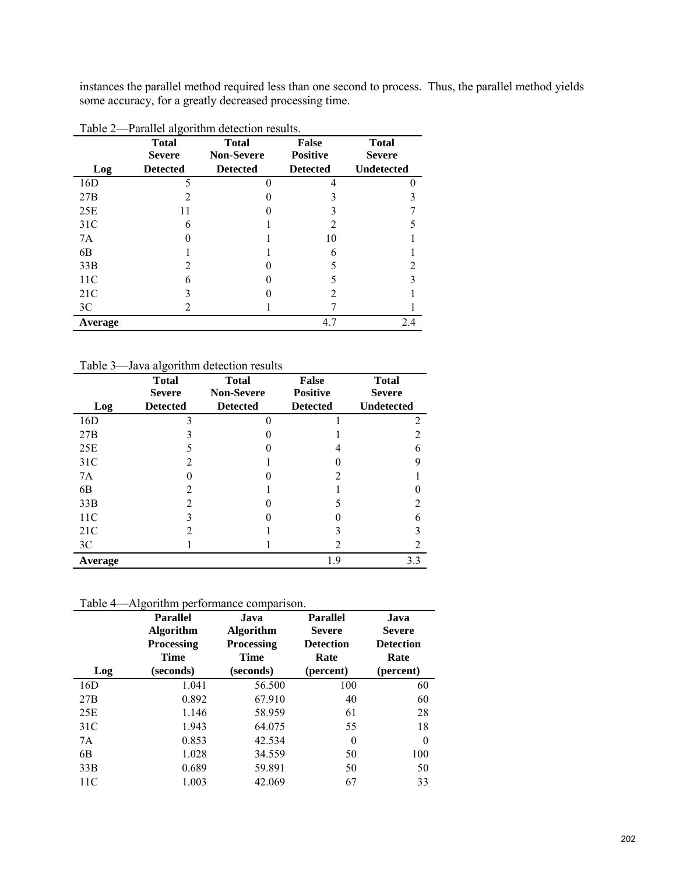instances the parallel method required less than one second to process. Thus, the parallel method yields some accuracy, for a greatly decreased processing time.

| Log             | <b>Total</b><br><b>Severe</b><br><b>Detected</b> | <b>Total</b><br><b>Non-Severe</b><br><b>Detected</b> | <b>False</b><br><b>Positive</b><br><b>Detected</b> | <b>Total</b><br><b>Severe</b><br><b>Undetected</b> |
|-----------------|--------------------------------------------------|------------------------------------------------------|----------------------------------------------------|----------------------------------------------------|
| 16D             | 5                                                |                                                      | 4                                                  |                                                    |
| 27B             |                                                  |                                                      |                                                    |                                                    |
| 25E             |                                                  |                                                      |                                                    |                                                    |
| 31C             |                                                  |                                                      |                                                    |                                                    |
| 7A              |                                                  |                                                      | 10                                                 |                                                    |
| 6B              |                                                  |                                                      |                                                    |                                                    |
| 33B             |                                                  |                                                      |                                                    | 2                                                  |
| 11 <sup>C</sup> |                                                  |                                                      |                                                    |                                                    |
| 21C             |                                                  |                                                      |                                                    |                                                    |
| 3 <sup>C</sup>  |                                                  |                                                      |                                                    |                                                    |
| <b>Average</b>  |                                                  |                                                      | 4.7                                                | 2.4                                                |

Table 3—Java algorithm detection results

|                 | <b>Total</b>    | <b>Total</b>      | False           | <b>Total</b>      |
|-----------------|-----------------|-------------------|-----------------|-------------------|
|                 | <b>Severe</b>   | <b>Non-Severe</b> | <b>Positive</b> | <b>Severe</b>     |
| Log             | <b>Detected</b> | <b>Detected</b>   | <b>Detected</b> | <b>Undetected</b> |
| 16D             | 3               |                   |                 | 2                 |
| 27B             |                 |                   |                 | 2                 |
| 25E             |                 |                   |                 | 6                 |
| 31 <sup>C</sup> | $\mathfrak{D}$  |                   |                 | 9                 |
| 7A              |                 |                   | 7               |                   |
| 6B              | 2               |                   |                 |                   |
| 33B             | $\mathfrak{D}$  |                   |                 | າ                 |
| 11 <sup>C</sup> | 3               |                   |                 | 6                 |
| 21C             |                 |                   |                 |                   |
| 3C              |                 |                   |                 |                   |
| Average         |                 |                   | 1.9             | 3.3               |

Table 4—Algorithm performance comparison.

| Log            | <b>Parallel</b><br><b>Algorithm</b><br><b>Processing</b><br><b>Time</b><br>(seconds) | Java<br><b>Algorithm</b><br><b>Processing</b><br><b>Time</b><br>(seconds) | <b>Parallel</b><br><b>Severe</b><br><b>Detection</b><br>Rate<br>(percent) | Java<br><b>Severe</b><br><b>Detection</b><br>Rate<br>(percent) |
|----------------|--------------------------------------------------------------------------------------|---------------------------------------------------------------------------|---------------------------------------------------------------------------|----------------------------------------------------------------|
| 16D            | 1.041                                                                                | 56.500                                                                    | 100                                                                       | 60                                                             |
| 27B            | 0.892                                                                                | 67.910                                                                    | 40                                                                        | 60                                                             |
| 25E            | 1.146                                                                                | 58.959                                                                    | 61                                                                        | 28                                                             |
| 31C            | 1.943                                                                                | 64.075                                                                    | 55                                                                        | 18                                                             |
| 7A             | 0.853                                                                                | 42.534                                                                    | 0                                                                         | $\theta$                                                       |
| 6 <sub>B</sub> | 1.028                                                                                | 34.559                                                                    | 50                                                                        | 100                                                            |
| 33B            | 0.689                                                                                | 59.891                                                                    | 50                                                                        | 50                                                             |
| 11C            | 1.003                                                                                | 42.069                                                                    | 67                                                                        | 33                                                             |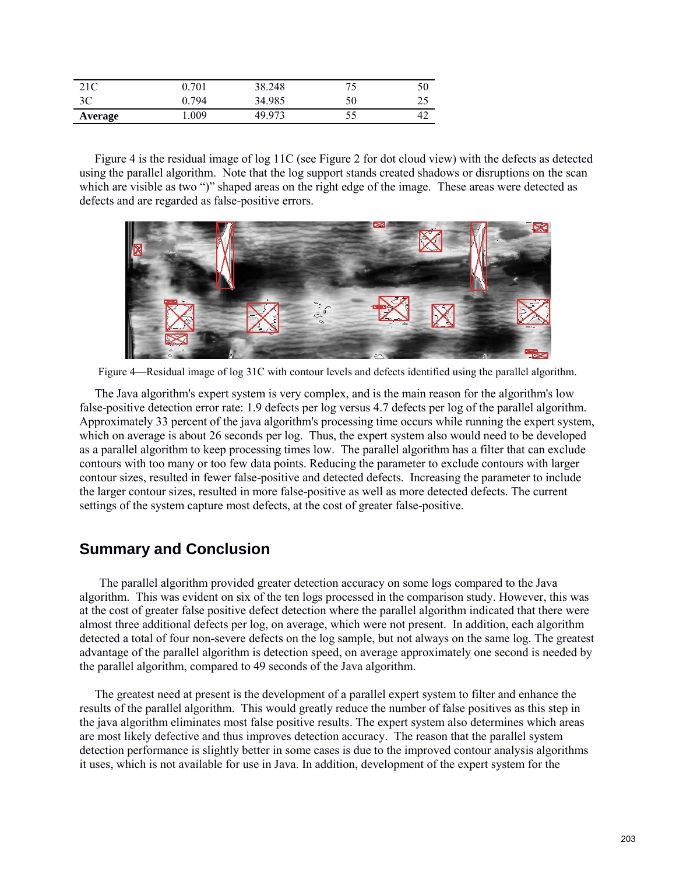| 21C     | 0.701 | 38.248 | 75 |    |
|---------|-------|--------|----|----|
| 3C      | 0.794 | 34.985 | 50 |    |
| Average | .009  | 49.973 | 55 | 42 |

 Figure 4 is the residual image of log 11C (see Figure 2 for dot cloud view) with the defects as detected using the parallel algorithm. Note that the log support stands created shadows or disruptions on the scan which are visible as two ")" shaped areas on the right edge of the image. These areas were detected as defects and are regarded as false-positive errors.



Figure 4—Residual image of log 31C with contour levels and defects identified using the parallel algorithm.

 The Java algorithm's expert system is very complex, and is the main reason for the algorithm's low false-positive detection error rate: 1.9 defects per log versus 4.7 defects per log of the parallel algorithm. Approximately 33 percent of the java algorithm's processing time occurs while running the expert system, which on average is about 26 seconds per log. Thus, the expert system also would need to be developed as a parallel algorithm to keep processing times low. The parallel algorithm has a filter that can exclude contours with too many or too few data points. Reducing the parameter to exclude contours with larger contour sizes, resulted in fewer false-positive and detected defects. Increasing the parameter to include the larger contour sizes, resulted in more false-positive as well as more detected defects. The current settings of the system capture most defects, at the cost of greater false-positive.

### **Summary and Conclusion**

 The parallel algorithm provided greater detection accuracy on some logs compared to the Java algorithm. This was evident on six of the ten logs processed in the comparison study. However, this was at the cost of greater false positive defect detection where the parallel algorithm indicated that there were almost three additional defects per log, on average, which were not present. In addition, each algorithm detected a total of four non-severe defects on the log sample, but not always on the same log. The greatest advantage of the parallel algorithm is detection speed, on average approximately one second is needed by the parallel algorithm, compared to 49 seconds of the Java algorithm.

 The greatest need at present is the development of a parallel expert system to filter and enhance the results of the parallel algorithm. This would greatly reduce the number of false positives as this step in the java algorithm eliminates most false positive results. The expert system also determines which areas are most likely defective and thus improves detection accuracy. The reason that the parallel system detection performance is slightly better in some cases is due to the improved contour analysis algorithms it uses, which is not available for use in Java. In addition, development of the expert system for the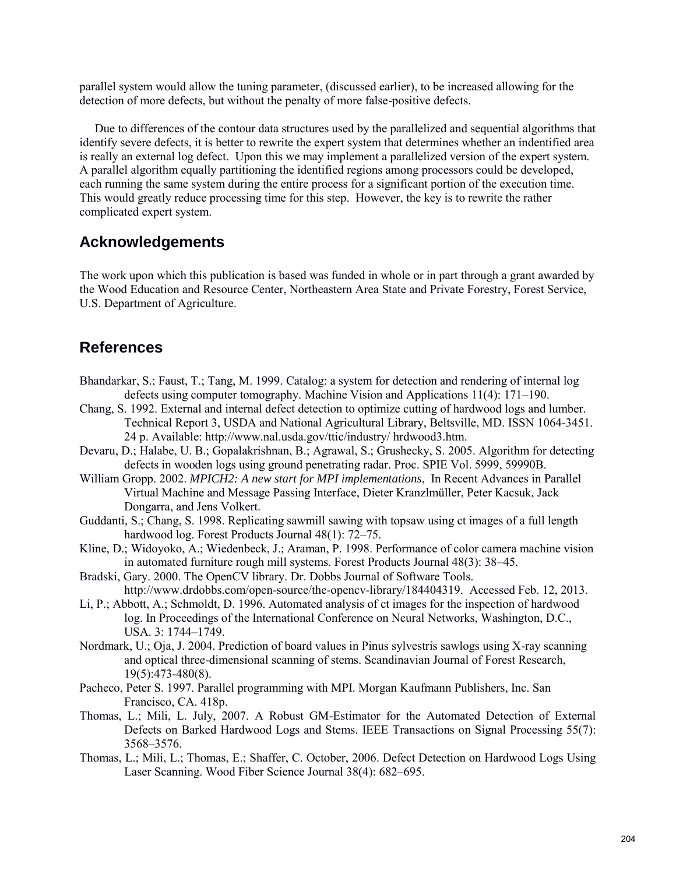parallel system would allow the tuning parameter, (discussed earlier), to be increased allowing for the detection of more defects, but without the penalty of more false-positive defects.

 Due to differences of the contour data structures used by the parallelized and sequential algorithms that identify severe defects, it is better to rewrite the expert system that determines whether an indentified area is really an external log defect. Upon this we may implement a parallelized version of the expert system. A parallel algorithm equally partitioning the identified regions among processors could be developed, each running the same system during the entire process for a significant portion of the execution time. This would greatly reduce processing time for this step. However, the key is to rewrite the rather complicated expert system.

## **Acknowledgements**

The work upon which this publication is based was funded in whole or in part through a grant awarded by the Wood Education and Resource Center, Northeastern Area State and Private Forestry, Forest Service, U.S. Department of Agriculture.

## **References**

- Bhandarkar, S.; Faust, T.; Tang, M. 1999. Catalog: a system for detection and rendering of internal log defects using computer tomography. Machine Vision and Applications 11(4): 171–190.
- Chang, S. 1992. External and internal defect detection to optimize cutting of hardwood logs and lumber. Technical Report 3, USDA and National Agricultural Library, Beltsville, MD. ISSN 1064-3451. 24 p. Available: http://www.nal.usda.gov/ttic/industry/ hrdwood3.htm.
- Devaru, D.; Halabe, U. B.; Gopalakrishnan, B.; Agrawal, S.; Grushecky, S. 2005. Algorithm for detecting defects in wooden logs using ground penetrating radar. Proc. SPIE Vol. 5999, 59990B.
- William Gropp. 2002. *MPICH2: A new start for MPI implementations*, In Recent Advances in Parallel Virtual Machine and Message Passing Interface, Dieter Kranzlmüller, Peter Kacsuk, Jack Dongarra, and Jens Volkert.
- Guddanti, S.; Chang, S. 1998. Replicating sawmill sawing with topsaw using ct images of a full length hardwood log. Forest Products Journal 48(1): 72–75.
- Kline, D.; Widoyoko, A.; Wiedenbeck, J.; Araman, P. 1998. Performance of color camera machine vision in automated furniture rough mill systems. Forest Products Journal 48(3): 38–45.
- Bradski, Gary. 2000. The OpenCV library. Dr. Dobbs Journal of Software Tools. http://www.drdobbs.com/open-source/the-opencv-library/184404319. Accessed Feb. 12, 2013.
- Li, P.; Abbott, A.; Schmoldt, D. 1996. Automated analysis of ct images for the inspection of hardwood log. In Proceedings of the International Conference on Neural Networks, Washington, D.C., USA. 3: 1744–1749.
- Nordmark, U.; Oja, J. 2004. Prediction of board values in Pinus sylvestris sawlogs using X-ray scanning and optical three-dimensional scanning of stems. Scandinavian Journal of Forest Research, 19(5):473-480(8).
- Pacheco, Peter S. 1997. Parallel programming with MPI. Morgan Kaufmann Publishers, Inc. San Francisco, CA. 418p.
- Thomas, L.; Mili, L. July, 2007. A Robust GM-Estimator for the Automated Detection of External Defects on Barked Hardwood Logs and Stems. IEEE Transactions on Signal Processing 55(7): 3568–3576.
- Thomas, L.; Mili, L.; Thomas, E.; Shaffer, C. October, 2006. Defect Detection on Hardwood Logs Using Laser Scanning. Wood Fiber Science Journal 38(4): 682–695.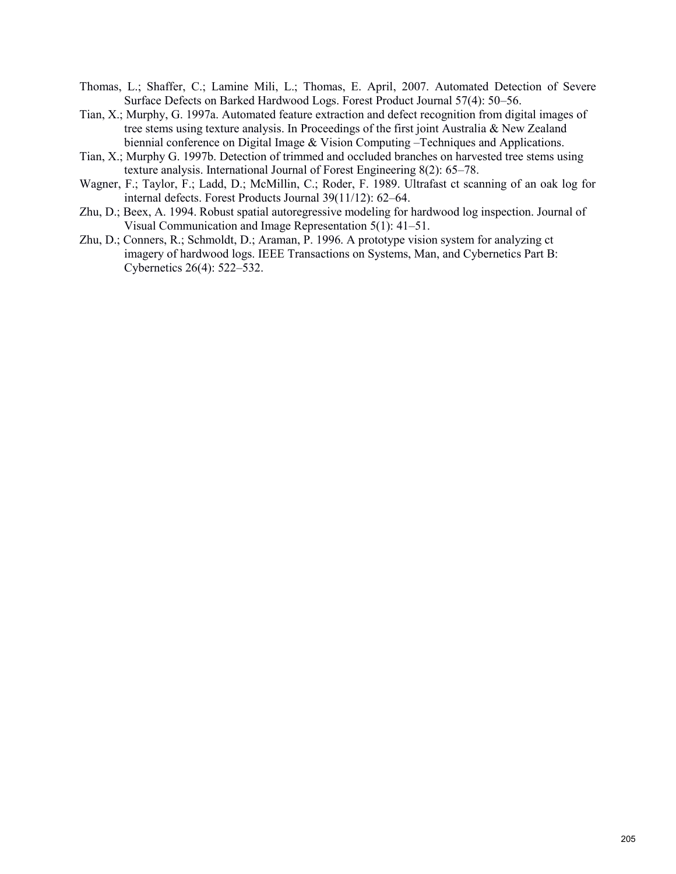- Thomas, L.; Shaffer, C.; Lamine Mili, L.; Thomas, E. April, 2007. Automated Detection of Severe Surface Defects on Barked Hardwood Logs. Forest Product Journal 57(4): 50–56.
- Tian, X.; Murphy, G. 1997a. Automated feature extraction and defect recognition from digital images of tree stems using texture analysis. In Proceedings of the first joint Australia & New Zealand biennial conference on Digital Image & Vision Computing –Techniques and Applications.
- Tian, X.; Murphy G. 1997b. Detection of trimmed and occluded branches on harvested tree stems using texture analysis. International Journal of Forest Engineering 8(2): 65–78.
- Wagner, F.; Taylor, F.; Ladd, D.; McMillin, C.; Roder, F. 1989. Ultrafast ct scanning of an oak log for internal defects. Forest Products Journal 39(11/12): 62–64.
- Zhu, D.; Beex, A. 1994. Robust spatial autoregressive modeling for hardwood log inspection. Journal of Visual Communication and Image Representation 5(1): 41–51.
- Zhu, D.; Conners, R.; Schmoldt, D.; Araman, P. 1996. A prototype vision system for analyzing ct imagery of hardwood logs. IEEE Transactions on Systems, Man, and Cybernetics Part B: Cybernetics 26(4): 522–532.